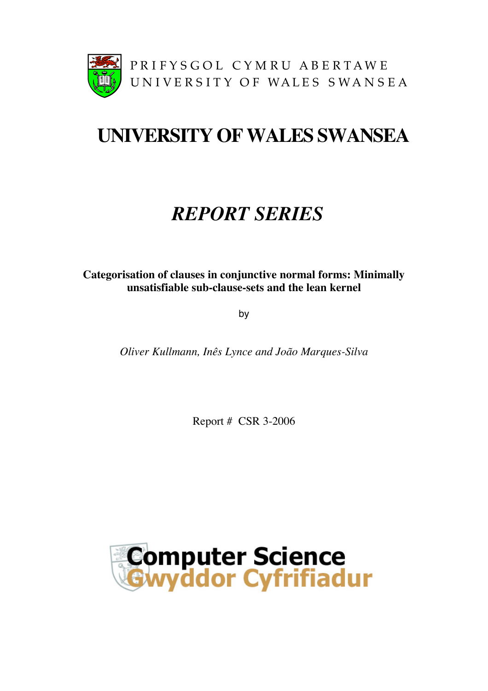

# **UNIVERSITY OFWALES SWANSEA**

## *REPORT SERIES*

## **Categorisation of clauses in conjunctive normal forms: Minimally unsatisfiable sub-clause-sets and the lean kernel**

by

*Oliver Kullmann, Inês Lynce and João Marques-Silva*

Report # CSR 3-2006

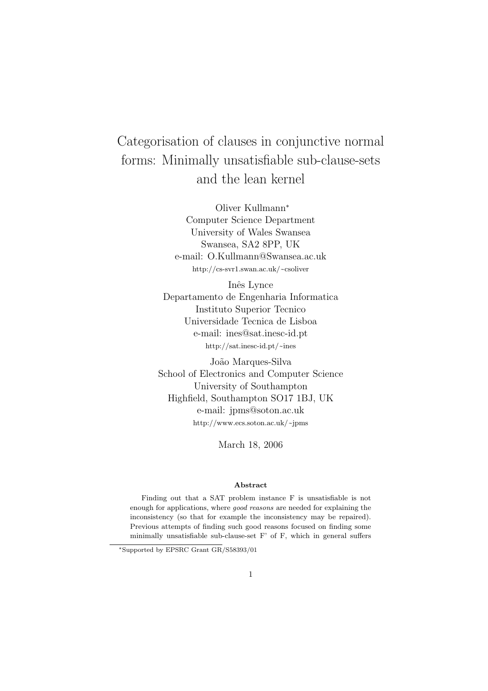## Categorisation of clauses in conjunctive normal forms: Minimally unsatisfiable sub-clause-sets and the lean kernel

Oliver Kullmann<sup>∗</sup> Computer Science Department University of Wales Swansea Swansea, SA2 8PP, UK e-mail: O.Kullmann@Swansea.ac.uk http://cs-svr1.swan.ac.uk/~csoliver

Inês Lynce Departamento de Engenharia Informatica Instituto Superior Tecnico Universidade Tecnica de Lisboa e-mail: ines@sat.inesc-id.pt http://sat.inesc-id.pt/~ines

João Marques-Silva School of Electronics and Computer Science University of Southampton Highfield, Southampton SO17 1BJ, UK e-mail: jpms@soton.ac.uk http://www.ecs.soton.ac.uk/~jpms

March 18, 2006

#### Abstract

Finding out that a SAT problem instance F is unsatisfiable is not enough for applications, where good reasons are needed for explaining the inconsistency (so that for example the inconsistency may be repaired). Previous attempts of finding such good reasons focused on finding some minimally unsatisfiable sub-clause-set  $F'$  of  $F$ , which in general suffers

<sup>∗</sup>Supported by EPSRC Grant GR/S58393/01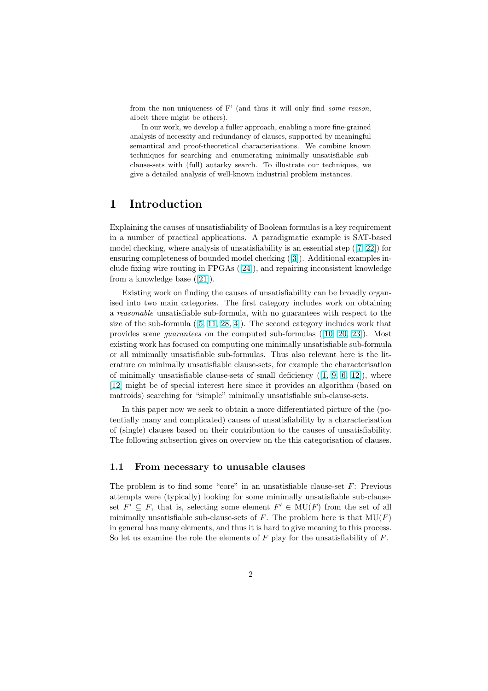from the non-uniqueness of F' (and thus it will only find some reason, albeit there might be others).

In our work, we develop a fuller approach, enabling a more fine-grained analysis of necessity and redundancy of clauses, supported by meaningful semantical and proof-theoretical characterisations. We combine known techniques for searching and enumerating minimally unsatisfiable subclause-sets with (full) autarky search. To illustrate our techniques, we give a detailed analysis of well-known industrial problem instances.

## 1 Introduction

Explaining the causes of unsatisfiability of Boolean formulas is a key requirement in a number of practical applications. A paradigmatic example is SAT-based model checking, where analysis of unsatisfiability is an essential step  $(7, 22)$  for ensuring completeness of bounded model checking ([3]). Additional examples include fixing wire routing in FPGAs ([24]), and repairing inconsistent knowledge from a knowledge base ([21]).

Existing work on finding the causes of unsatisfiability can be broa[dl](#page-15-0)[y or](#page-16-0)ganised into two main categories. The first category [in](#page-15-0)cludes work on obtaining a reasonable unsatisfiable sub-formu[la,](#page-16-0) with no guarantees with respect to the size of the sub-formula  $([5, 11, 28, 4])$  $([5, 11, 28, 4])$  $([5, 11, 28, 4])$ . The second category includes work that provides some guarantees on the computed sub-formulas ([10, 20, 23]). Most existing work has focused on computing one minimally unsatisfiable sub-formula or all minimally unsatisfiable sub-formulas. Thus also relevant here is the literature on minimally un[satisfi](#page-15-0)[able](#page-17-0) [cl](#page-15-0)ause-sets, for example the characterisation of minimally unsatisfiable clause-sets of small deficiency  $([1, 9, 6, 12])$  $([1, 9, 6, 12])$  $([1, 9, 6, 12])$  $([1, 9, 6, 12])$  $([1, 9, 6, 12])$  $([1, 9, 6, 12])$  $([1, 9, 6, 12])$ , where [12] might be of special interest here since it provides an algorithm (based on matroids) searching for "simple" minimally unsatisfiable sub-clause-sets.

In this paper now we seek to obtain a more differentiated picture of the (potentially many and complicated) causes of unsatisfiability b[y](#page-13-0) [a charact](#page-15-0)erisation [of \(](#page-15-0)single) clauses based on their contribution to the causes of unsatisfiability. The following subsection gives on overview on the this categorisation of clauses.

#### 1.1 From necessary to unusable clauses

The problem is to find some "core" in an unsatisfiable clause-set  $F$ : Previous attempts were (typically) looking for some minimally unsatisfiable sub-clauseset  $F' \subseteq F$ , that is, selecting some element  $F' \in \text{MU}(F)$  from the set of all minimally unsatisfiable sub-clause-sets of  $F$ . The problem here is that  $MU(F)$ in general has many elements, and thus it is hard to give meaning to this process. So let us examine the role the elements of  $F$  play for the unsatisfiability of  $F$ .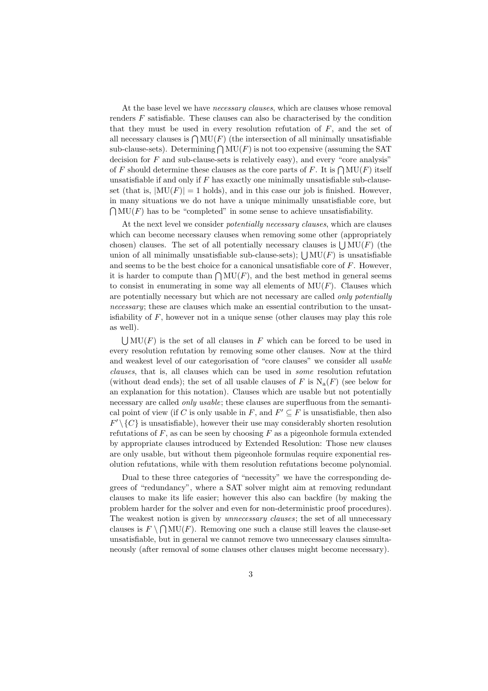At the base level we have *necessary clauses*, which are clauses whose removal renders  $F$  satisfiable. These clauses can also be characterised by the condition that they must be used in every resolution refutation of  $F$ , and the set of that they must be used in every resolution relation of  $F$ , and the set of all necessary clauses is  $\bigcap MU(F)$  (the intersection of all minimally unsatisfiable an necessary clauses is  $\prod_{i=1}^{N} N_i$  (the intersection of an imminiary unsatisfable sub-clause-sets). Determining  $\bigcap MU(F)$  is not too expensive (assuming the SAT decision for  $F$  and sub-clause-sets is relatively easy), and every "core analysis" decision for  $\Gamma$  and sub-clause-sets is relatively easy), and every core analysis<br>of  $F$  should determine these clauses as the core parts of  $F$ . It is  $\bigcap \text{MU}(F)$  itself unsatisfiable if and only if  $F$  has exactly one minimally unsatisfiable sub-clauseset (that is,  $|MU(F)| = 1$  holds), and in this case our job is finished. However, in many situations we do not have a unique minimally unsatisfiable core, but T  $\bigcap \text{MU}(F)$  has to be "completed" in some sense to achieve unsatisfiability.

At the next level we consider *potentially necessary clauses*, which are clauses which can become necessary clauses when removing some other (appropriately which can become necessary clauses when removing some other (appropriately chosen) clauses. The set of all potentially necessary clauses is  $\Box MU(F)$  (the chosen) clauses. The set of all potentially necessary clauses is  $\bigcup M\cup (F)$  (the union of all minimally unsatisfiable sub-clause-sets);  $\bigcup M\cup (F)$  is unsatisfiable and seems to be the best choice for a canonical unsatisfiable core of  $F$ . However, and seems to be the best choice for a canonical disatisfiable core of F. However,<br>it is harder to compute than  $\bigcap \text{MU}(F)$ , and the best method in general seems to consist in enumerating in some way all elements of  $MU(F)$ . Clauses which are potentially necessary but which are not necessary are called only potentially necessary; these are clauses which make an essential contribution to the unsatisfiability of  $F$ , however not in a unique sense (other clauses may play this role as well).

 $\overline{\bigcup_{i=1}^{n}}$  SU(F) is the set of all clauses in F which can be forced to be used in every resolution refutation by removing some other clauses. Now at the third and weakest level of our categorisation of "core clauses" we consider all usable clauses, that is, all clauses which can be used in some resolution refutation (without dead ends); the set of all usable clauses of F is  $N_a(F)$  (see below for an explanation for this notation). Clauses which are usable but not potentially necessary are called *only usable*; these clauses are superfluous from the semantical point of view (if C is only usable in F, and  $F' \subseteq F$  is unsatisfiable, then also  $F' \setminus \{C\}$  is unsatisfiable), however their use may considerably shorten resolution refutations of  $F$ , as can be seen by choosing  $F$  as a pigeonhole formula extended by appropriate clauses introduced by Extended Resolution: Those new clauses are only usable, but without them pigeonhole formulas require exponential resolution refutations, while with them resolution refutations become polynomial.

Dual to these three categories of "necessity" we have the corresponding degrees of "redundancy", where a SAT solver might aim at removing redundant clauses to make its life easier; however this also can backfire (by making the problem harder for the solver and even for non-deterministic proof procedures). The weakest notion is given by *unnecessary clauses*; the set of all unnecessary clauses is  $F \setminus \bigcap \text{MU}(F)$ . Removing one such a clause still leaves the clause-set unsatisfiable, but in general we cannot remove two unnecessary clauses simultaneously (after removal of some clauses other clauses might become necessary).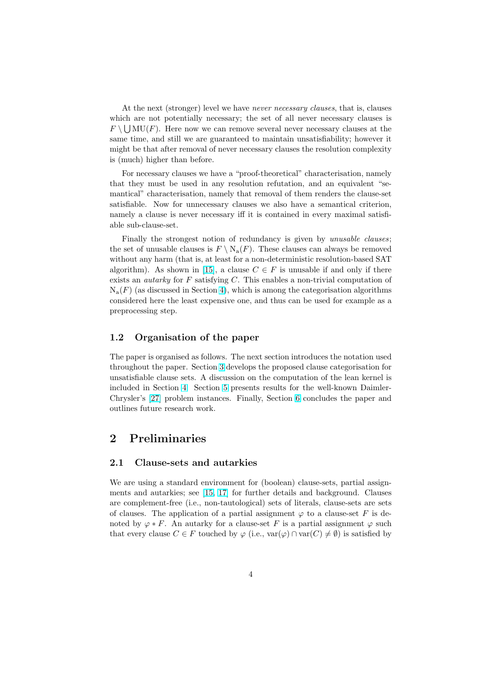At the next (stronger) level we have *never necessary clauses*, that is, clauses which are not potentially necessary; the set of all never necessary clauses is  $F \setminus \cup MU(F)$ . Here now we can remove several never necessary clauses at the same time, and still we are guaranteed to maintain unsatisfiability; however it might be that after removal of never necessary clauses the resolution complexity is (much) higher than before.

For necessary clauses we have a "proof-theoretical" characterisation, namely that they must be used in any resolution refutation, and an equivalent "semantical" characterisation, namely that removal of them renders the clause-set satisfiable. Now for unnecessary clauses we also have a semantical criterion, namely a clause is never necessary iff it is contained in every maximal satisfiable sub-clause-set.

Finally the strongest notion of redundancy is given by *unusable clauses*; the set of unusable clauses is  $F \setminus N_a(F)$ . These clauses can always be removed without any harm (that is, at least for a non-deterministic resolution-based SAT algorithm). As shown in [15], a clause  $C \in F$  is unusable if and only if there exists an *autarky* for  $F$  satisfying  $C$ . This enables a non-trivial computation of  $N_a(F)$  (as discussed in Section 4), which is among the categorisation algorithms considered here the least expensive one, and thus can be used for example as a preprocessing step.

### 1.2 Organisation of t[he](#page-10-0) paper

The paper is organised as follows. The next section introduces the notation used throughout the paper. Section 3 develops the proposed clause categorisation for unsatisfiable clause sets. A discussion on the computation of the lean kernel is included in Section 4. Section 5 presents results for the well-known Daimler-Chrysler's [27] problem instances. Finally, Section 6 concludes the paper and outlines future research work.

## 2 Pre[lim](#page-17-0)inaries

## 2.1 Clause-sets and autarkies

We are using a standard environment for (boolean) clause-sets, partial assignments and autarkies; see [15, 17] for further details and background. Clauses are complement-free (i.e., non-tautological) sets of literals, clause-sets are sets of clauses. The application of a partial assignment  $\varphi$  to a clause-set F is denoted by  $\varphi * F$ . An autarky for a clause-set F is a partial assignment  $\varphi$  such that every clause  $C \in F$  t[ouc](#page-15-0)[hed](#page-16-0) by  $\varphi$  (i.e.,  $var(\varphi) \cap var(C) \neq \emptyset$ ) is satisfied by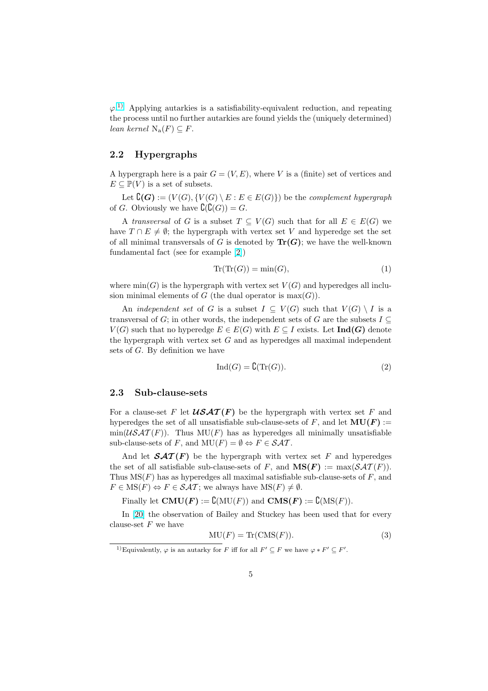<span id="page-5-0"></span> $\varphi$ <sup>1)</sup> Applying autarkies is a satisfiability-equivalent reduction, and repeating the process until no further autarkies are found yields the (uniquely determined) lean kernel  $N_a(F) \subseteq F$ .

## 2.2 Hypergraphs

A hypergraph here is a pair  $G = (V, E)$ , where V is a (finite) set of vertices and  $E \subseteq \mathbb{P}(V)$  is a set of subsets.

Let  ${\mathcal{C}}(G) := (V(G), \{V(G) \setminus E : E \in E(G)\})$  be the *complement hypergraph* of G. Obviously we have  ${\rm C}({\rm C}(G))=G$ .

A transversal of G is a subset  $T \subseteq V(G)$  such that for all  $E \in E(G)$  we have  $T \cap E \neq \emptyset$ ; the hypergraph with vertex set V and hyperedge set the set of all minimal transversals of G is denoted by  $\text{Tr}(G)$ ; we have the well-known fundamental fact (see for example [2])

$$
Tr(Tr(G)) = min(G),
$$
\n(1)

where  $\min(G)$  is the hypergraph with vertex set  $V(G)$  and hyperedges all inclusion minimal elements of G (the d[ual](#page-13-0) operator is  $max(G)$ ).

An *independent set* of G is a subset  $I \subseteq V(G)$  such that  $V(G) \setminus I$  is a transversal of G; in other words, the independent sets of G are the subsets  $I \subseteq$  $V(G)$  such that no hyperedge  $E \in E(G)$  with  $E \subseteq I$  exists. Let  $\text{Ind}(G)$  denote the hypergraph with vertex set  $G$  and as hyperedges all maximal independent sets of G. By definition we have

$$
Ind(G) = \mathcal{C}(Tr(G)).
$$
\n(2)

#### 2.3 Sub-clause-sets

For a clause-set F let  $\mathcal{USAT}(F)$  be the hypergraph with vertex set F and hyperedges the set of all unsatisfiable sub-clause-sets of F, and let  $MU(F) :=$  $\min(\mathcal{USAT}(F))$ . Thus  $\text{MU}(F)$  has as hyperedges all minimally unsatisfiable sub-clause-sets of F, and  $MU(F) = \emptyset \Leftrightarrow F \in \mathcal{SAT}$ .

And let  $\mathcal{SAT}(F)$  be the hypergraph with vertex set F and hyperedges the set of all satisfiable sub-clause-sets of F, and  $MS(F) := \max(SAT(F)).$ Thus  $MS(F)$  has as hyperedges all maximal satisfiable sub-clause-sets of  $F$ , and  $F \in \text{MS}(F) \Leftrightarrow F \in \mathcal{SAT}$ ; we always have  $\text{MS}(F) \neq \emptyset$ .

Finally let  $\text{CMU}(F) := \mathcal{C}(\text{MU}(F))$  and  $\text{CMS}(F) := \mathcal{C}(\text{MS}(F)).$ 

In [20] the observation of Bailey and Stuckey has been used that for every clause-set  $F$  we have

$$
MU(F) = Tr(CMS(F)).
$$
\n(3)

<sup>&</sup>lt;sup>1</sup>) Eq[uival](#page-16-0)ently,  $\varphi$  is an autarky for F iff for all  $F' \subseteq F$  we have  $\varphi * F' \subseteq F'$ .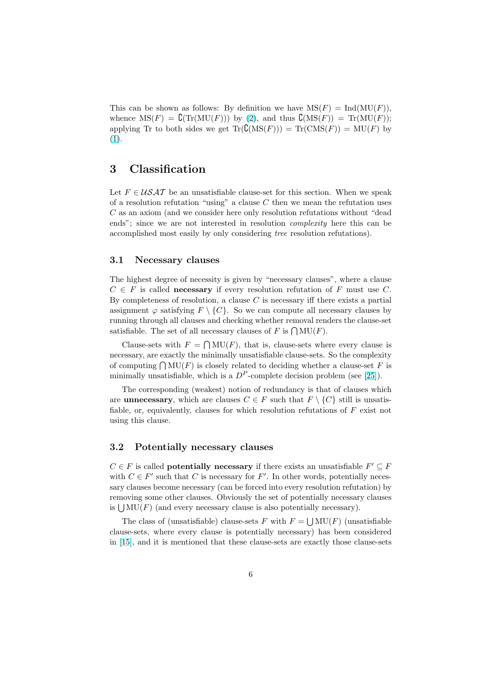This can be shown as follows: By definition we have  $MS(F) = Ind(MU(F)).$ whence  $MS(F) = \mathcal{C}(\text{Tr}(MU(F)))$  by (2), and thus  $\mathcal{C}(MS(F)) = \text{Tr}(MU(F));$ applying Tr to both sides we get  $\text{Tr}(\mathcal{C}(MS(F))) = \text{Tr}(CMS(F)) = MU(F)$  by (1).

## 3 Classification

Let  $F \in USAT$  be an unsatisfiable clause-set for this section. When we speak of a resolution refutation "using" a clause  $C$  then we mean the refutation uses C as an axiom (and we consider here only resolution refutations without "dead ends"; since we are not interested in resolution complexity here this can be accomplished most easily by only considering tree resolution refutations).

#### 3.1 Necessary clauses

The highest degree of necessity is given by "necessary clauses", where a clause  $C \in F$  is called **necessary** if every resolution refutation of F must use C. By completeness of resolution, a clause  $C$  is necessary iff there exists a partial assignment  $\varphi$  satisfying  $F \setminus \{C\}$ . So we can compute all necessary clauses by running through all clauses and checking whether removal renders the clause-set running unbugh an clauses and checking whether removal renessaristiable. The set of all necessary clauses of  $F$  is  $\bigcap \text{MU}(F)$ .

Clause-sets with  $F = \bigcap \text{MU}(F)$ , that is, clause-sets where every clause is necessary, are exactly the minimally unsatisfiable clause-sets. So the complexity decessary, are exactly the imminiary disatisfiable clause-sets. So the complexity of computing  $\bigcap MU(F)$  is closely related to deciding whether a clause-set F is minimally unsatisfiable, which is a  $D^P$ -complete decision problem (see [25]).

The corresponding (weakest) notion of redundancy is that of clauses which are **unnecessary**, which are clauses  $C \in F$  such that  $F \setminus \{C\}$  still is unsatisfiable, or, equivalently, clauses for which resolution refutations of  $F$  e[xist](#page-16-0) not using this clause.

### 3.2 Potentially necessary clauses

 $C \in F$  is called **potentially necessary** if there exists an unsatisfiable  $F' \subseteq F$ with  $C \in F'$  such that C is necessary for F'. In other words, potentially necessary clauses become necessary (can be forced into every resolution refutation) by removing some other clauses. Obviously the set of potentially necessary clauses removing some other clauses. Obviously the set of potentially necessary.<br>is  $\bigcup MU(F)$  (and every necessary clause is also potentially necessary).

The class of (unsatisfiable) clause-sets F with  $F = \bigcup MU(F)$  (unsatisfiable) clause-sets, where every clause is potentially necessary) has been considered in [15], and it is mentioned that these clause-sets are exactly those clause-sets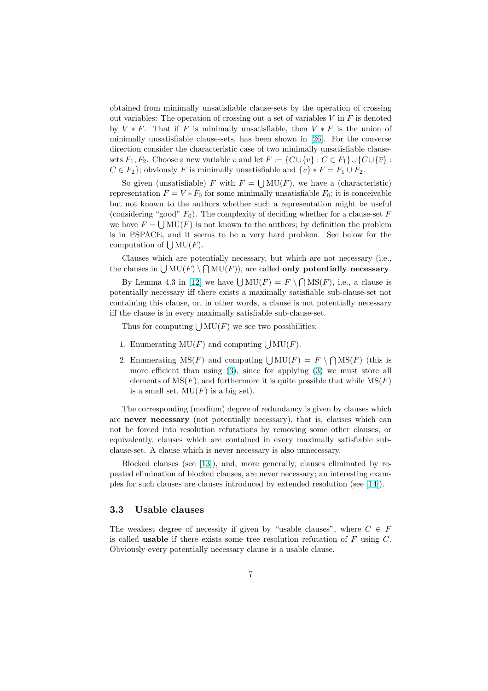obtained from minimally unsatisfiable clause-sets by the operation of crossing out variables: The operation of crossing out a set of variables  $V$  in  $F$  is denoted by  $V * F$ . That if F is minimally unsatisfiable, then  $V * F$  is the union of minimally unsatisfiable clause-sets, has been shown in [26]. For the converse direction consider the characteristic case of two minimally unsatisfiable clausesets  $F_1, F_2$ . Choose a new variable v and let  $F := \{C \cup \{v\} : C \in F_1\} \cup \{C \cup \{\overline{v}\}\$ :  $C \in F_2$ ; obviously F is minimally unsatisfiable and  $\{v\} * F = F_1 \cup F_2$ .

So given (unsatisfiable) F with  $F = \bigcup MU(F)$ , we [hav](#page-16-0)e a (characteristic) representation  $F = V * F_0$  for some minimally unsatisfiable  $F_0$ ; it is conceivable but not known to the authors whether such a representation might be useful (considering "good"  $F_0$ ). The complexity of deciding whether for a clause-set  $F$ we have  $F = \bigcup MU(F)$  is not known to the authors; by definition the problem is in PSPACE, and it seems to be a very hard problem. See below for the is in 1 St ACE, and it see<br>computation of  $\bigcup MU(F)$ .

Clauses which are potentially necessary, but which are not necessary (i.e., Clauses which are potentially necessary, but which are not necessary (i.e., the clauses in  $\Box MU(F) \setminus \bigcap MU(F)$ ), are called **only potentially necessary**.

By Lemma 4.3 in [12] we have  $\bigcup MU(F) = F \setminus \bigcap MS(F)$ , i.e., a clause is potentially necessary iff there exists a maximally satisfiable sub-clause-set not containing this clause, or, in other words, a clause is not potentially necessary iff the clause is in every maximally satisfiable sub-clause-set.

Thus for computing  $\bigcup MU(F)$  we see two possibilities:

- 1. Enumerating  $MU(F)$  and computing  $UMU(F)$ .
- 2. Enumerating  $MS(F)$  and computing  $\bigcup MU(F) = F \setminus \bigcap MS(F)$  (this is more efficient than using (3), since for applying (3) we must store all elements of  $MS(F)$ , and furthermore it is quite possible that while  $MS(F)$ is a small set,  $MU(F)$  is a big set).

The corresponding (medium) [de](#page-5-0)gree of redundancy is [giv](#page-5-0)en by clauses which are never necessary (not potentially necessary), that is, clauses which can not be forced into resolution refutations by removing some other clauses, or equivalently, clauses which are contained in every maximally satisfiable subclause-set. A clause which is never necessary is also unnecessary.

Blocked clauses (see [13]), and, more generally, clauses eliminated by repeated elimination of blocked clauses, are never necessary; an interesting examples for such clauses are clauses introduced by extended resolution (see [14]).

#### 3.3 Usable clause[s](#page-15-0)

The weakest degree of necessity if given by "usable clauses", where  $C \in F$  $C \in F$ is called usable if there exists some tree resolution refutation of  $F$  using  $C$ . Obviously every potentially necessary clause is a usable clause.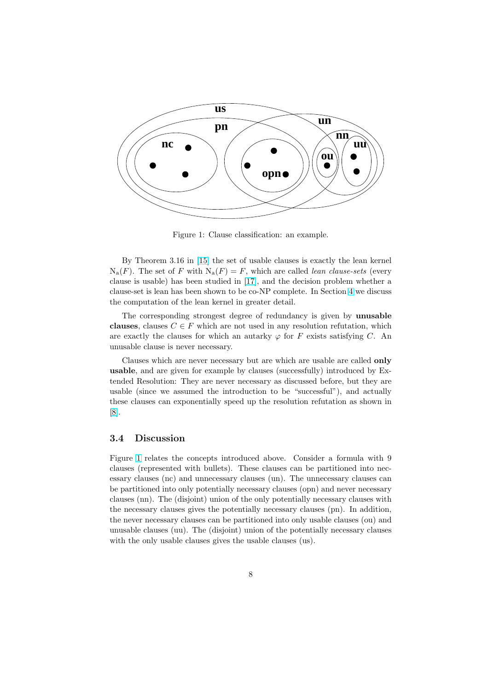

Figure 1: Clause classification: an example.

By Theorem 3.16 in [15] the set of usable clauses is exactly the lean kernel  $N_a(F)$ . The set of F with  $N_a(F) = F$ , which are called *lean clause-sets* (every clause is usable) has been studied in [17], and the decision problem whether a clause-set is lean has been shown to be co-NP complete. In Section 4 we discuss the computation of the l[ean](#page-15-0) kernel in greater detail.

The corresponding strongest degree of redundancy is given by unusable clauses, clauses  $C \in F$  which are no[t us](#page-16-0)ed in any resolution refutation, which are exactly the clauses for which an autarky  $\varphi$  for F exists satis[fyi](#page-10-0)ng C. An unusable clause is never necessary.

Clauses which are never necessary but are which are usable are called only usable, and are given for example by clauses (successfully) introduced by Extended Resolution: They are never necessary as discussed before, but they are usable (since we assumed the introduction to be "successful"), and actually these clauses can exponentially speed up the resolution refutation as shown in [8].

#### 3.4 Discussion

[Fi](#page-15-0)gure 1 relates the concepts introduced above. Consider a formula with 9 clauses (represented with bullets). These clauses can be partitioned into necessary clauses (nc) and unnecessary clauses (un). The unnecessary clauses can be partitioned into only potentially necessary clauses (opn) and never necessary clauses (nn). The (disjoint) union of the only potentially necessary clauses with the necessary clauses gives the potentially necessary clauses (pn). In addition, the never necessary clauses can be partitioned into only usable clauses (ou) and unusable clauses (uu). The (disjoint) union of the potentially necessary clauses with the only usable clauses gives the usable clauses (us).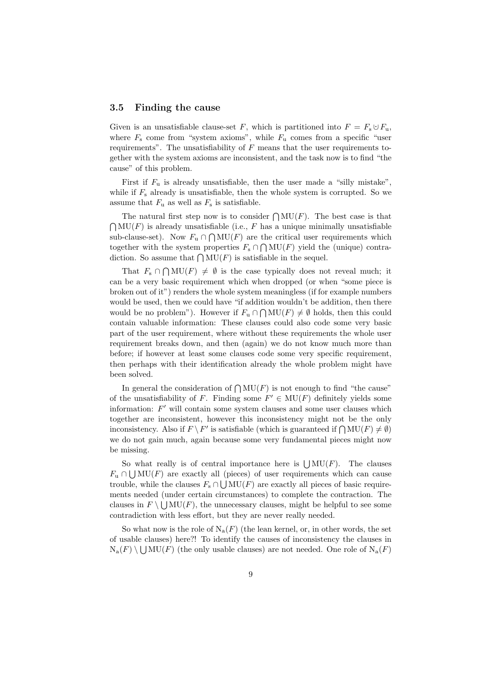#### <span id="page-9-0"></span>3.5 Finding the cause

Given is an unsatisfiable clause-set F, which is partitioned into  $F = F_s \cup F_u$ , where  $F_s$  come from "system axioms", while  $F_u$  comes from a specific "user requirements". The unsatisfiability of  $F$  means that the user requirements together with the system axioms are inconsistent, and the task now is to find "the cause" of this problem.

First if  $F_u$  is already unsatisfiable, then the user made a "silly mistake", while if  $F_s$  already is unsatisfiable, then the whole system is corrupted. So we assume that  $F_u$  as well as  $F_s$  is satisfiable.

The natural first step now is to consider  $\bigcap \text{MU}(F)$ . The best case is that The natural first step now is to consider  $\bigcap_{r \in \mathcal{F}} P(r)$ . The best case is that  $\bigcap_{r \in \mathcal{F}} P(r)$  is already unsatisfiable (i.e., F has a unique minimally unsatisfiable sub-clause-set). Now  $F_u \cap \bigcap MU(F)$  are the critical user requirements which together with the system properties  $F_s \cap \bigcap \text{MU}(F)$  yield the (unique) contradiction. So assume that <sup>T</sup> MU(F) is satisfiable in the sequel.

That  $F_s \cap \bigcap \text{MU}(F) \neq \emptyset$  is the case typically does not reveal much; it can be a very basic requirement which when dropped (or when "some piece is broken out of it") renders the whole system meaningless (if for example numbers would be used, then we could have "if addition wouldn't be addition, then there would be no problem"). However if  $F_u \cap \bigcap MU(F) \neq \emptyset$  holds, then this could contain valuable information: These clauses could also code some very basic part of the user requirement, where without these requirements the whole user requirement breaks down, and then (again) we do not know much more than before; if however at least some clauses code some very specific requirement, then perhaps with their identification already the whole problem might have been solved.

In general the consideration of  $\bigcap \text{MU}(F)$  is not enough to find "the cause" of the unsatisfiability of F. Finding some  $F' \in \text{MU}(F)$  definitely yields some information:  $F'$  will contain some system clauses and some user clauses which together are inconsistent, however this inconsistency might not be the only inconsistency. Also if  $F \setminus F'$  is satisfiable (which is guaranteed if  $\bigcap MU(F) \neq \emptyset$ ) we do not gain much, again because some very fundamental pieces might now be missing.

So what really is of central importance here is  $\bigcup \text{MU}(F)$ . The clauses  $F_u \cap \bigcup MU(F)$  are exactly all (pieces) of user requirements which can cause trouble, while the clauses  $F_s \cap \bigcup \text{MU}(F)$  are exactly all pieces of basic requirements needed (under certain circumstances) to complete the contraction. The clauses in  $F \setminus \cup MU(F)$ , the unnecessary clauses, might be helpful to see some contradiction with less effort, but they are never really needed.

So what now is the role of  $N_a(F)$  (the lean kernel, or, in other words, the set of usable clauses) here?! To identify the causes of inconsistency the clauses in  $N_a(F) \setminus \bigcup MU(F)$  (the only usable clauses) are not needed. One role of  $N_a(F)$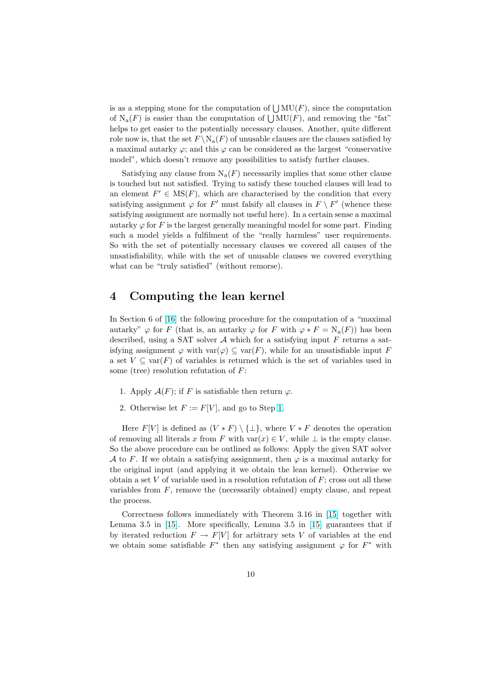<span id="page-10-0"></span>is as a stepping stone for the computation of  $\Box$  MU(*F*), since the computation is as a stepping stone for the computation of  $\bigcup MU(F)$ , since the computation<br>of  $N_a(F)$  is easier than the computation of  $\bigcup MU(F)$ , and removing the "fat" helps to get easier to the potentially necessary clauses. Another, quite different role now is, that the set  $F \backslash N_a(F)$  of unusable clauses are the clauses satisfied by a maximal autarky  $\varphi$ ; and this  $\varphi$  can be considered as the largest "conservative" model", which doesn't remove any possibilities to satisfy further clauses.

Satisfying any clause from  $N_a(F)$  necessarily implies that some other clause is touched but not satisfied. Trying to satisfy these touched clauses will lead to an element  $F' \in \text{MS}(F)$ , which are characterised by the condition that every satisfying assignment  $\varphi$  for F' must falsify all clauses in  $F \setminus F'$  (whence these satisfying assignment are normally not useful here). In a certain sense a maximal autarky  $\varphi$  for F is the largest generally meaningful model for some part. Finding such a model yields a fulfilment of the "really harmless" user requirements. So with the set of potentially necessary clauses we covered all causes of the unsatisfiability, while with the set of unusable clauses we covered everything what can be "truly satisfied" (without remorse).

## 4 Computing the lean kernel

In Section 6 of [16] the following procedure for the computation of a "maximal autarky"  $\varphi$  for F (that is, an autarky  $\varphi$  for F with  $\varphi * F = N_a(F)$ ) has been described, using a SAT solver  $A$  which for a satisfying input F returns a satisfying assignment  $\varphi$  with var $(\varphi) \subseteq \text{var}(F)$ , while for an unsatisfiable input F a set  $V \subseteq \text{var}(F)$  $V \subseteq \text{var}(F)$  of variables is returned which is the set of variables used in some (tree) resolution refutation of F:

- 1. Apply  $\mathcal{A}(F)$ ; if F is satisfiable then return  $\varphi$ .
- 2. Otherwise let  $F := F[V]$ , and go to Step 1.

Here  $F[V]$  is defined as  $(V * F) \setminus {\{\perp\}}$ , where  $V * F$  denotes the operation of removing all literals x from F with var $(x) \in V$ , while  $\perp$  is the empty clause. So the above procedure can be outlined as follows: Apply the given SAT solver A to F. If we obtain a satisfying assignment, then  $\varphi$  is a maximal autarky for the original input (and applying it we obtain the lean kernel). Otherwise we obtain a set V of variable used in a resolution refutation of  $F$ ; cross out all these variables from  $F$ , remove the (necessarily obtained) empty clause, and repeat the process.

Correctness follows immediately with Theorem 3.16 in [15] together with Lemma 3.5 in [15]. More specifically, Lemma 3.5 in [15] guarantees that if by iterated reduction  $F \to F[V]$  for arbitrary sets V of variables at the end we obtain some satisfiable  $F^*$  then any satisfying assignment  $\varphi$  for  $F^*$  with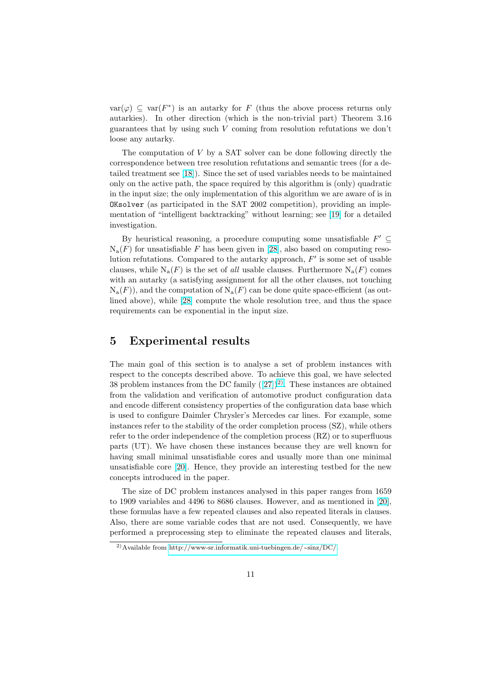$var(\varphi) \subseteq var(F^*)$  is an autarky for F (thus the above process returns only autarkies). In other direction (which is the non-trivial part) Theorem 3.16 guarantees that by using such V coming from resolution refutations we don't loose any autarky.

The computation of  $V$  by a SAT solver can be done following directly the correspondence between tree resolution refutations and semantic trees (for a detailed treatment see [18]). Since the set of used variables needs to be maintained only on the active path, the space required by this algorithm is (only) quadratic in the input size; the only implementation of this algorithm we are aware of is in OKsolver (as participated in the SAT 2002 competition), providing an implementation of "intelli[gen](#page-16-0)t backtracking" without learning; see [19] for a detailed investigation.

By heuristical reasoning, a procedure computing some unsatisfiable  $F' \subseteq$  $N_a(F)$  for unsatisfiable F has been given in [28], also based on computing resolution refutations. C[om](#page-16-0)pared to the autarky approach,  $F'$  is some set of usable clauses, while  $N_a(F)$  is the set of all usable clauses. Furthermore  $N_a(F)$  comes with an autarky (a satisfying assignment for all the other clauses, not touching  $N_a(F)$ , and the computation of  $N_a(F)$  can b[e d](#page-17-0)one quite space-efficient (as outlined above), while [28] compute the whole resolution tree, and thus the space requirements can be exponential in the input size.

## 5 Experim[en](#page-17-0)tal results

The main goal of this section is to analyse a set of problem instances with respect to the concepts described above. To achieve this goal, we have selected 38 problem instances from the DC family  $([27])^2$ . These instances are obtained from the validation and verification of automotive product configuration data and encode different consistency properties of the configuration data base which is used to configure Daimler Chrysler's Mercedes car lines. For example, some instances refer to the stability of the order c[om](#page-17-0)pletion process (SZ), while others refer to the order independence of the completion process (RZ) or to superfluous parts (UT). We have chosen these instances because they are well known for having small minimal unsatisfiable cores and usually more than one minimal unsatisfiable core [20]. Hence, they provide an interesting testbed for the new concepts introduced in the paper.

The size of DC problem instances analysed in this paper ranges from 1659 to 1909 variables and 4496 to 8686 clauses. However, and as mentioned in [20], these formulas ha[ve a](#page-16-0) few repeated clauses and also repeated literals in clauses. Also, there are some variable codes that are not used. Consequently, we have performed a preprocessing step to eliminate the repeated clauses and literals,

<sup>&</sup>lt;sup>2</sup>)Available from http://www-sr.informatik.uni-tuebingen.de/~sinz/DC/.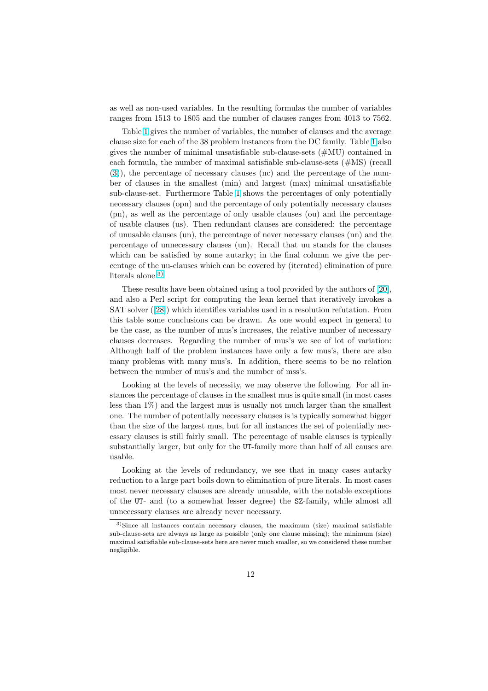as well as non-used variables. In the resulting formulas the number of variables ranges from 1513 to 1805 and the number of clauses ranges from 4013 to 7562.

Table 1 gives the number of variables, the number of clauses and the average clause size for each of the 38 problem instances from the DC family. Table 1 also gives the number of minimal unsatisfiable sub-clause-sets (#MU) contained in each formula, the number of maximal satisfiable sub-clause-sets (#MS) (recall (3)), the [pe](#page-14-0)rcentage of necessary clauses (nc) and the percentage of the number of clauses in the smallest (min) and largest (max) minimal unsati[sfi](#page-14-0)able sub-clause-set. Furthermore Table 1 shows the percentages of only potentially necessary clauses (opn) and the percentage of only potentially necessary clauses [\(pn](#page-5-0)), as well as the percentage of only usable clauses (ou) and the percentage of usable clauses (us). Then redundant clauses are considered: the percentage of unusable clauses (un), the perce[nta](#page-14-0)ge of never necessary clauses (nn) and the percentage of unnecessary clauses (un). Recall that uu stands for the clauses which can be satisfied by some autarky; in the final column we give the percentage of the uu-clauses which can be covered by (iterated) elimination of pure literals alone.<sup>3)</sup>

These results have been obtained using a tool provided by the authors of [20], and also a Perl script for computing the lean kernel that iteratively invokes a SAT solver ([28]) which identifies variables used in a resolution refutation. From this table some conclusions can be drawn. As one would expect in general to be the case, as the number of mus's increases, the relative number of neces[sary](#page-16-0) clauses decreases. Regarding the number of mus's we see of lot of variation: Although ha[lf o](#page-17-0)f the problem instances have only a few mus's, there are also many problems with many mus's. In addition, there seems to be no relation between the number of mus's and the number of mss's.

Looking at the levels of necessity, we may observe the following. For all instances the percentage of clauses in the smallest mus is quite small (in most cases less than 1%) and the largest mus is usually not much larger than the smallest one. The number of potentially necessary clauses is is typically somewhat bigger than the size of the largest mus, but for all instances the set of potentially necessary clauses is still fairly small. The percentage of usable clauses is typically substantially larger, but only for the UT-family more than half of all causes are usable.

Looking at the levels of redundancy, we see that in many cases autarky reduction to a large part boils down to elimination of pure literals. In most cases most never necessary clauses are already unusable, with the notable exceptions of the UT- and (to a somewhat lesser degree) the SZ-family, while almost all unnecessary clauses are already never necessary.

<sup>3)</sup>Since all instances contain necessary clauses, the maximum (size) maximal satisfiable sub-clause-sets are always as large as possible (only one clause missing); the minimum (size) maximal satisfiable sub-clause-sets here are never much smaller, so we considered these number negligible.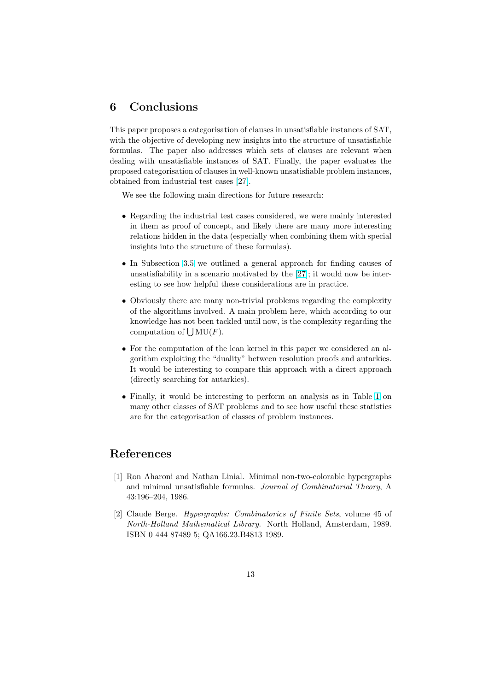## <span id="page-13-0"></span>6 Conclusions

This paper proposes a categorisation of clauses in unsatisfiable instances of SAT, with the objective of developing new insights into the structure of unsatisfiable formulas. The paper also addresses which sets of clauses are relevant when dealing with unsatisfiable instances of SAT. Finally, the paper evaluates the proposed categorisation of clauses in well-known unsatisfiable problem instances, obtained from industrial test cases [27].

We see the following main directions for future research:

- Regarding the industrial test cases considered, we were mainly interested in them as proof of concept, [and](#page-17-0) likely there are many more interesting relations hidden in the data (especially when combining them with special insights into the structure of these formulas).
- In Subsection 3.5 we outlined a general approach for finding causes of unsatisfiability in a scenario motivated by the [27]; it would now be interesting to see how helpful these considerations are in practice.
- Obviously the[re ar](#page-9-0)e many non-trivial problems regarding the complexity of the algorithms involved. A main problem h[ere,](#page-17-0) which according to our knowledge has not been tackled until now, is the complexity regarding the showledge has not been ta<br>computation of  $\bigcup MU(F)$ .
- For the computation of the lean kernel in this paper we considered an algorithm exploiting the "duality" between resolution proofs and autarkies. It would be interesting to compare this approach with a direct approach (directly searching for autarkies).
- Finally, it would be interesting to perform an analysis as in Table 1 on many other classes of SAT problems and to see how useful these statistics are for the categorisation of classes of problem instances.

## References

- [1] Ron Aharoni and Nathan Linial. Minimal non-two-colorable hypergraphs and minimal unsatisfiable formulas. Journal of Combinatorial Theory, A 43:196–204, 1986.
- [2] Claude Berge. Hypergraphs: Combinatorics of Finite Sets, volume 45 of North-Holland Mathematical Library. North Holland, Amsterdam, 1989. ISBN 0 444 87489 5; QA166.23.B4813 1989.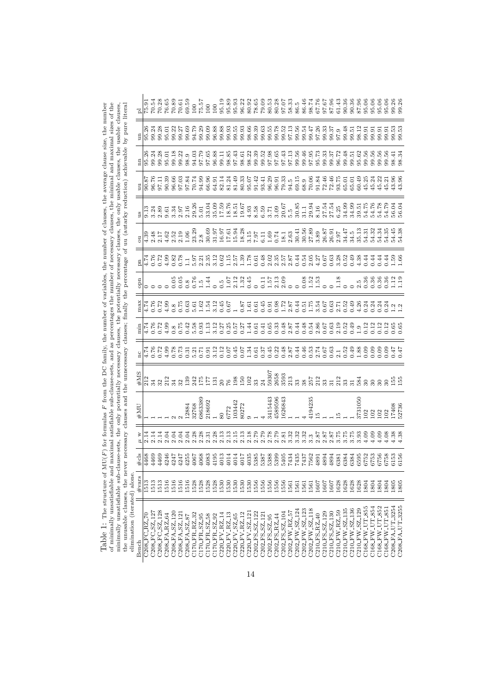|                                                                                                   |                                    |                      | $\begin{array}{r} \underline{\mathbf{p}}_1 \\ \underline{\mathbf{p}}_2 \\ \underline{\mathbf{p}}_3 \\ \underline{\mathbf{p}}_4 \\ \underline{\mathbf{p}}_5 \\ \underline{\mathbf{p}}_6 \\ \underline{\mathbf{p}}_7 \\ \underline{\mathbf{p}}_8 \\ \underline{\mathbf{p}}_7 \\ \underline{\mathbf{p}}_8 \\ \underline{\mathbf{p}}_9 \\ \underline{\mathbf{p}}_9 \\ \underline{\mathbf{p}}_9 \\ \underline{\mathbf{p}}_9 \\ \underline{\mathbf{p}}_9 \\ \underline{\mathbf{p}}_9 \\ \underline{\mathbf{p}}_9 \\ \underline{\mathbf{p}}_9 \\ \underline{\mathbf{p}}_9 \\ \underline{\math$ |                                                     |               |                |                |               |                            |                   |                                                                                                                      | 100           |               |                                                     |               |               |                |                  |                |                                                                            |                    |                |                |                                                     |                            |                                        |               |                                                               |                |               |                                      |                |                |                                                |                                                      |                |                | 5.06<br>5.06.26<br>5.09.39                |                               |
|---------------------------------------------------------------------------------------------------|------------------------------------|----------------------|-----------------------------------------------------------------------------------------------------------------------------------------------------------------------------------------------------------------------------------------------------------------------------------------------------------------------------------------------------------------------------------------------------------------------------------------------------------------------------------------------------------------------------------------------------------------------------------------|-----------------------------------------------------|---------------|----------------|----------------|---------------|----------------------------|-------------------|----------------------------------------------------------------------------------------------------------------------|---------------|---------------|-----------------------------------------------------|---------------|---------------|----------------|------------------|----------------|----------------------------------------------------------------------------|--------------------|----------------|----------------|-----------------------------------------------------|----------------------------|----------------------------------------|---------------|---------------------------------------------------------------|----------------|---------------|--------------------------------------|----------------|----------------|------------------------------------------------|------------------------------------------------------|----------------|----------------|-------------------------------------------|-------------------------------|
| by pure literal<br>usable clauses                                                                 |                                    | $\overline{3.26}$    | 1810127<br>0.00000<br>0.00000                                                                                                                                                                                                                                                                                                                                                                                                                                                                                                                                                           |                                                     |               |                |                | 99.69         |                            |                   |                                                                                                                      |               |               |                                                     |               |               |                |                  |                |                                                                            |                    |                |                |                                                     |                            | 99.47                                  |               | $\begin{array}{c} 7.26 \\ 9.33 \\ 9.937 \\ 9.957 \end{array}$ |                |               | 99.48                                |                |                | 99.51<br>98.12<br>99.91                        | 99.91                                                |                |                | 55565<br>99999<br>9999                    |                               |
| achievable<br>ciauses, uie                                                                        |                                    |                      | 8<br>8<br>8<br>8<br>8<br>8<br>8<br>8<br>8<br>8                                                                                                                                                                                                                                                                                                                                                                                                                                                                                                                                          |                                                     |               | 99.18          | 99.22          | 98.9          | 94.03<br>97.79<br>97.65    |                   |                                                                                                                      | 96.88         | 99.11         | 98.85<br>9743                                       |               | 98.61         | 98.22          |                  |                | 99.52<br>99.52<br>95.65                                                    |                    | 97.43          | 97.13<br>99.56 |                                                     | 99.46<br>97.95<br>95.73    |                                        |               | 99.33<br>99.37<br>96.72                                       |                |               | 99.48                                |                |                | 51<br>95.56<br>95.56<br>99.56                  |                                                      | 56<br>g.       | 99.56<br>98.41 |                                           | 34<br>$\overline{\mathbf{8}}$ |
| uu (autarky reduction)<br>ATTO ATT                                                                |                                    |                      | おけのあの以れの死にはないだかなまののだ。さっては私おおりはなだ。たいのでは、このはのはところに、このためのは、このたいは、これは、これはのあいます。 しゅうきゅうしょう                                                                                                                                                                                                                                                                                                                                                                                                                                                                                                   |                                                     |               |                |                |               |                            |                   |                                                                                                                      |               |               |                                                     |               |               |                |                  |                |                                                                            |                    |                |                |                                                     |                            |                                        |               |                                                               |                |               |                                      |                |                |                                                |                                                      |                |                | $45.38$<br>$45.36$<br>$43.36$<br>$43.36$  |                               |
|                                                                                                   | β                                  |                      |                                                                                                                                                                                                                                                                                                                                                                                                                                                                                                                                                                                         |                                                     |               |                |                | 2.16          | 29.26                      |                   | $5.01$<br>$5.009$<br>$5.009$<br>$5.509$<br>$5.509$<br>$5.509$<br>$5.509$<br>$5.509$<br>$5.509$<br>$5.509$<br>$5.509$ |               |               |                                                     |               |               |                |                  |                |                                                                            |                    | 20.67          |                | $\begin{array}{c} 5.5 \\ 30.85 \\ 31.1 \end{array}$ |                            |                                        |               | 29.34<br>8.16<br>8.754<br>8.25<br>6.25<br>34.34               |                |               |                                      |                |                |                                                |                                                      |                |                |                                           |                               |
| ciauses,                                                                                          |                                    |                      | $\begin{array}{ l }\n\hline\n99817000 \\ \hline\n141000 \\ \hline\n1401400 \\ \hline\n1.0\n\end{array}$                                                                                                                                                                                                                                                                                                                                                                                                                                                                                 |                                                     |               |                |                |               |                            |                   | 8. 8555538.551694138885554555<br>8. 8555538.551694136888555455                                                       |               |               |                                                     |               |               |                |                  |                |                                                                            |                    |                |                |                                                     |                            |                                        |               |                                                               |                |               |                                      |                |                |                                                | 54.32                                                |                |                |                                           | 54.38                         |
|                                                                                                   | <sub>pn</sub>                      |                      |                                                                                                                                                                                                                                                                                                                                                                                                                                                                                                                                                                                         |                                                     |               |                |                |               |                            |                   | $5772$<br>$2772$                                                                                                     |               | 0.62          |                                                     |               |               |                |                  |                |                                                                            |                    |                |                |                                                     |                            |                                        |               |                                                               |                |               |                                      |                | 4.38           | 0.44                                           | 0.44                                                 | 0.44           |                | $7.58$<br>$1.58$                          |                               |
|                                                                                                   |                                    |                      |                                                                                                                                                                                                                                                                                                                                                                                                                                                                                                                                                                                         |                                                     |               | 0.05           | 0.05           |               | $0.56$<br>$0.76$<br>$1.44$ |                   |                                                                                                                      |               |               | $0.51345$<br>$0.1345$<br>$0.1345$                   |               |               |                |                  |                | $\frac{1157}{0.130}$                                                       |                    |                |                |                                                     | $0.53$<br>$1.53$<br>$1.53$ |                                        |               |                                                               |                | 1.18          |                                      |                |                | $\begin{array}{c} 5, 5, 6 \\ 0.36 \end{array}$ |                                                      |                |                | $0.36$<br>$0.31$<br>$0.11$<br>$1.19$      |                               |
| rne boremitani mecessary                                                                          | max                                |                      | $\frac{174}{576}$                                                                                                                                                                                                                                                                                                                                                                                                                                                                                                                                                                       | $0.72$<br>4.99                                      |               |                |                |               |                            |                   |                                                                                                                      | 3.12          | 0.45          | 0.67                                                |               |               |                |                  |                |                                                                            |                    |                |                |                                                     |                            |                                        |               |                                                               |                |               | 0.9833                               |                |                |                                                |                                                      | Ņ              |                | 99 S S                                    |                               |
| ciauses,                                                                                          |                                    |                      | $\frac{1}{4}$ $\frac{1}{7}$ $\frac{8}{4}$ $\frac{1}{8}$ $\frac{1}{9}$                                                                                                                                                                                                                                                                                                                                                                                                                                                                                                                   |                                                     |               | 0.8            |                | 0.42          | $5.58$<br>0.93             |                   | 1.25857                                                                                                              |               |               |                                                     |               |               | 1.44           | $0.61$<br>$0.41$ |                | $0.65$<br>$0.33$                                                           |                    | 0.48           | 2.87           | 0.44                                                | 0.54                       |                                        |               | $3.86$<br>$0.63$<br>$0.39$<br>$0.39$                          |                |               | $0.53$<br>$0.49$<br>$-1.2$<br>$-1.2$ |                |                |                                                | 0.12                                                 | 0.12           |                |                                           | 0.65                          |
|                                                                                                   |                                    |                      |                                                                                                                                                                                                                                                                                                                                                                                                                                                                                                                                                                                         |                                                     |               |                |                |               |                            |                   |                                                                                                                      |               |               |                                                     |               |               |                |                  |                |                                                                            |                    |                |                |                                                     |                            |                                        |               |                                                               |                |               |                                      |                |                |                                                |                                                      |                |                |                                           | 747                           |
| and the unnecessary clauses; finally the percentage of                                            | #MS                                |                      |                                                                                                                                                                                                                                                                                                                                                                                                                                                                                                                                                                                         |                                                     |               |                |                |               |                            |                   |                                                                                                                      |               |               |                                                     |               |               |                |                  |                |                                                                            |                    |                |                | n<br>53885385385888888555                           |                            |                                        |               |                                                               |                |               |                                      |                |                |                                                |                                                      |                |                |                                           |                               |
| Kaseaan Kreenthand Krim ari saar<br>clauses                                                       | #MU                                |                      |                                                                                                                                                                                                                                                                                                                                                                                                                                                                                                                                                                                         |                                                     |               |                |                | 12884         | 32768                      | 6863389<br>218692 |                                                                                                                      |               |               | 6772                                                | 03442         | 80272         |                |                  |                | 3415443                                                                    | 4589596<br>1626843 |                |                |                                                     |                            | 4194235<br>15                          |               |                                                               |                |               |                                      |                |                |                                                | $\begin{array}{l} 3731050 \\ 102 \\ 102 \end{array}$ |                |                | $\frac{102}{17408}$<br>$\frac{102}{1736}$ |                               |
| necessary                                                                                         | $\mu w$                            |                      |                                                                                                                                                                                                                                                                                                                                                                                                                                                                                                                                                                                         |                                                     | $\beta$       | $\overline{0}$ | $\overline{0}$ |               | 3885                       |                   |                                                                                                                      | 2.28          | 2.13          | $\begin{array}{c} 2.13 \\ 2.13 \\ 2.13 \end{array}$ |               |               |                |                  |                | $\begin{array}{c} 0.00000 \\ 0.00000 \\ 0.00000 \\ 0.00000 \\ \end{array}$ |                    | 2.81           |                | 0000<br>000000<br>00000                             |                            |                                        |               | $2.87$<br>$2.87$<br>$2.87$<br>$3.75$                          |                |               | $7500$<br>$3000$                     |                |                | 4.09                                           | 4.09                                                 | 4.09           |                | $\frac{3}{4}$ 38<br>$\frac{3}{4}$ 38      |                               |
|                                                                                                   | $\frac{\text{\#cls}}{\text{4468}}$ |                      |                                                                                                                                                                                                                                                                                                                                                                                                                                                                                                                                                                                         |                                                     |               |                |                |               |                            |                   |                                                                                                                      |               |               |                                                     |               |               |                |                  |                |                                                                            |                    |                |                |                                                     |                            |                                        |               |                                                               |                |               |                                      |                |                |                                                |                                                      |                |                |                                           |                               |
|                                                                                                   | #vars                              | 1513                 | 1513                                                                                                                                                                                                                                                                                                                                                                                                                                                                                                                                                                                    | 1513                                                | 1516          | 516            | 516            | 516           | 528                        | 528               | 528                                                                                                                  | 1528          | 530           | 530                                                 | 530           | 530           | 1530           | 556              | 556            | 556                                                                        | 556                | 556            | 1561           | 1561                                                | 561                        | 1561                                   | 1607          | 1607                                                          | 1607           | 1628          | 1628                                 | 1628           | 1628           | 1804                                           | 1804                                                 | 1804           | 1804           | 1805                                      | 1805                          |
| the unusable clauses, the never<br>ero-cha anderrannesm Arremmmm<br>elimination (iterated) alone. | Bench                              | <b>C208_FC_RZ_70</b> | C208_FC_SZ_127                                                                                                                                                                                                                                                                                                                                                                                                                                                                                                                                                                          | C <sub>2</sub> 08 <sub>-F</sub> C <sub>SZ-128</sub> | C208_FA_RZ_64 | C208_FA_SZ_120 | C208_FA_SZ_121 | C208_FA_SZ_87 | C170_FR_RZ_32              | C170_FR_SZ_95     | C170_FR_SZ_58                                                                                                        | C170_FR_SZ_92 | C220_FV_RZ_14 | C220_FV_RZ_13                                       | C220_FV_SZ_65 | C220_FV_RZ_12 | C220_FV_SZ_121 | C202_FS_SZ_122   | C202_FS_SZ_121 | C202_FS_SZ_95                                                              | C202_FS_RZ_44      | C202_FS_SZ_104 | C202_FW_RZ_57  | C <sub>202</sub> _FW_SZ_124                         | C202_FW_SZ_123             | C <sub>202</sub> FW <sub>-SZ-118</sub> | C210_FS_RZ_40 | C210_FS_SZ_129                                                | C210_FS_SZ_130 | C210_FW_RZ_59 | C210_FW_SZ_135                       | C210_FW_SZ_136 | C210_FW_SZ_129 | C168_FW_UT_855                                 | C168_FW_UT_854                                       | C168_FW_UT_852 | C168_FW_UT_851 | C208_FA_UT_3254                           | C208_FA_UT_3255               |

<span id="page-14-0"></span>Table 1: The structure of  $\text{MU}(F)$  for formulas  $F$  from the DC family, the number of variables, the number of clauses, the average clause size, the number<br>of minimally unsatisfiable and maximal satisfiable sub-clause-se Table 1: The structure of MU(F) for formulas F from the DC family, the number of variables, the number of clauses, the average clause size, the number of minimally unsatisfiable and maximal satisfiable sub-clause-sets, and as percentages the number of necessary clauses, the minimal and maximal sizes of the minimally unsatisfiable sub-clause-sets, the only potentially necessary clauses, the potentially necessary clauses, the only usable clauses, the usable clauses,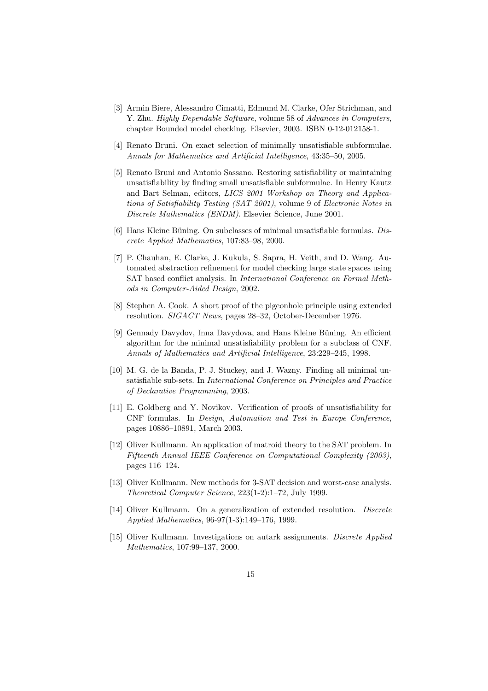- <span id="page-15-0"></span>[3] Armin Biere, Alessandro Cimatti, Edmund M. Clarke, Ofer Strichman, and Y. Zhu. Highly Dependable Software, volume 58 of Advances in Computers, chapter Bounded model checking. Elsevier, 2003. ISBN 0-12-012158-1.
- [4] Renato Bruni. On exact selection of minimally unsatisfiable subformulae. Annals for Mathematics and Artificial Intelligence, 43:35–50, 2005.
- [5] Renato Bruni and Antonio Sassano. Restoring satisfiability or maintaining unsatisfiability by finding small unsatisfiable subformulae. In Henry Kautz and Bart Selman, editors, LICS 2001 Workshop on Theory and Applications of Satisfiability Testing (SAT 2001), volume 9 of Electronic Notes in Discrete Mathematics (ENDM). Elsevier Science, June 2001.
- [6] Hans Kleine Büning. On subclasses of minimal unsatisfiable formulas.  $Dis$ crete Applied Mathematics, 107:83–98, 2000.
- [7] P. Chauhan, E. Clarke, J. Kukula, S. Sapra, H. Veith, and D. Wang. Automated abstraction refinement for model checking large state spaces using SAT based conflict analysis. In International Conference on Formal Methods in Computer-Aided Design, 2002.
- [8] Stephen A. Cook. A short proof of the pigeonhole principle using extended resolution. SIGACT News, pages 28–32, October-December 1976.
- [9] Gennady Davydov, Inna Davydova, and Hans Kleine Büning. An efficient algorithm for the minimal unsatisfiability problem for a subclass of CNF. Annals of Mathematics and Artificial Intelligence, 23:229–245, 1998.
- [10] M. G. de la Banda, P. J. Stuckey, and J. Wazny. Finding all minimal unsatisfiable sub-sets. In International Conference on Principles and Practice of Declarative Programming, 2003.
- [11] E. Goldberg and Y. Novikov. Verification of proofs of unsatisfiability for CNF formulas. In Design, Automation and Test in Europe Conference, pages 10886–10891, March 2003.
- [12] Oliver Kullmann. An application of matroid theory to the SAT problem. In Fifteenth Annual IEEE Conference on Computational Complexity (2003), pages 116–124.
- [13] Oliver Kullmann. New methods for 3-SAT decision and worst-case analysis. Theoretical Computer Science, 223(1-2):1–72, July 1999.
- [14] Oliver Kullmann. On a generalization of extended resolution. Discrete Applied Mathematics, 96-97(1-3):149–176, 1999.
- [15] Oliver Kullmann. Investigations on autark assignments. Discrete Applied Mathematics, 107:99–137, 2000.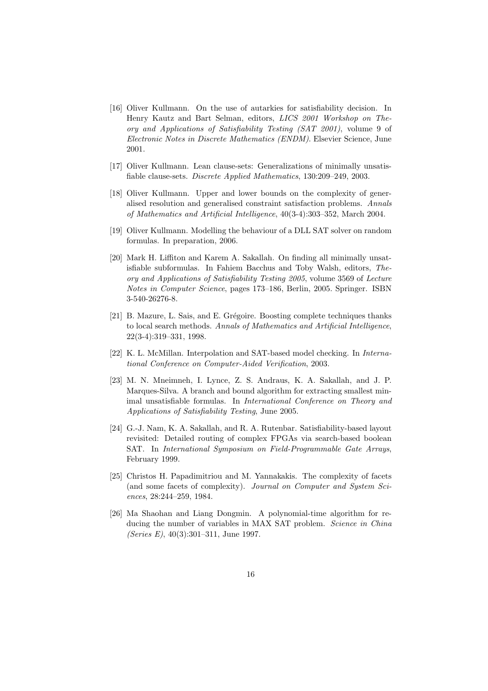- <span id="page-16-0"></span>[16] Oliver Kullmann. On the use of autarkies for satisfiability decision. In Henry Kautz and Bart Selman, editors, LICS 2001 Workshop on Theory and Applications of Satisfiability Testing (SAT 2001), volume 9 of Electronic Notes in Discrete Mathematics (ENDM). Elsevier Science, June 2001.
- [17] Oliver Kullmann. Lean clause-sets: Generalizations of minimally unsatisfiable clause-sets. Discrete Applied Mathematics, 130:209–249, 2003.
- [18] Oliver Kullmann. Upper and lower bounds on the complexity of generalised resolution and generalised constraint satisfaction problems. Annals of Mathematics and Artificial Intelligence, 40(3-4):303–352, March 2004.
- [19] Oliver Kullmann. Modelling the behaviour of a DLL SAT solver on random formulas. In preparation, 2006.
- [20] Mark H. Liffiton and Karem A. Sakallah. On finding all minimally unsatisfiable subformulas. In Fahiem Bacchus and Toby Walsh, editors, Theory and Applications of Satisfiability Testing 2005, volume 3569 of Lecture Notes in Computer Science, pages 173–186, Berlin, 2005. Springer. ISBN 3-540-26276-8.
- [21] B. Mazure, L. Sais, and E. Grégoire. Boosting complete techniques thanks to local search methods. Annals of Mathematics and Artificial Intelligence, 22(3-4):319–331, 1998.
- [22] K. L. McMillan. Interpolation and SAT-based model checking. In International Conference on Computer-Aided Verification, 2003.
- [23] M. N. Mneimneh, I. Lynce, Z. S. Andraus, K. A. Sakallah, and J. P. Marques-Silva. A branch and bound algorithm for extracting smallest minimal unsatisfiable formulas. In International Conference on Theory and Applications of Satisfiability Testing, June 2005.
- [24] G.-J. Nam, K. A. Sakallah, and R. A. Rutenbar. Satisfiability-based layout revisited: Detailed routing of complex FPGAs via search-based boolean SAT. In International Symposium on Field-Programmable Gate Arrays, February 1999.
- [25] Christos H. Papadimitriou and M. Yannakakis. The complexity of facets (and some facets of complexity). Journal on Computer and System Sciences, 28:244–259, 1984.
- [26] Ma Shaohan and Liang Dongmin. A polynomial-time algorithm for reducing the number of variables in MAX SAT problem. Science in China (Series E), 40(3):301–311, June 1997.